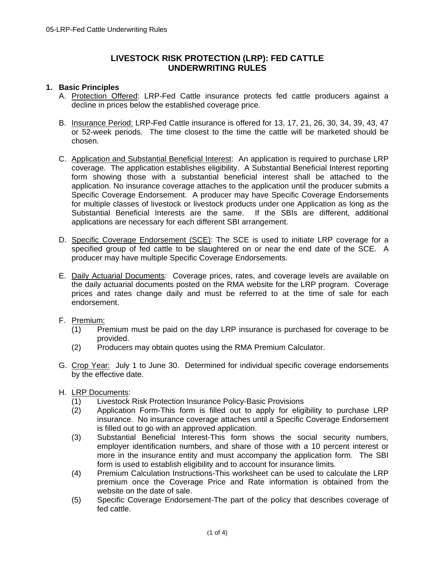# **LIVESTOCK RISK PROTECTION (LRP): FED CATTLE UNDERWRITING RULES**

#### **1. Basic Principles**

- A. Protection Offered: LRP-Fed Cattle insurance protects fed cattle producers against a decline in prices below the established coverage price.
- B. Insurance Period: LRP-Fed Cattle insurance is offered for 13, 17, 21, 26, 30, 34, 39, 43, 47 or 52-week periods. The time closest to the time the cattle will be marketed should be chosen.
- C. Application and Substantial Beneficial Interest: An application is required to purchase LRP coverage. The application establishes eligibility. A Substantial Beneficial Interest reporting form showing those with a substantial beneficial interest shall be attached to the application. No insurance coverage attaches to the application until the producer submits a Specific Coverage Endorsement. A producer may have Specific Coverage Endorsements for multiple classes of livestock or livestock products under one Application as long as the Substantial Beneficial Interests are the same. If the SBIs are different, additional applications are necessary for each different SBI arrangement.
- D. Specific Coverage Endorsement (SCE): The SCE is used to initiate LRP coverage for a specified group of fed cattle to be slaughtered on or near the end date of the SCE. A producer may have multiple Specific Coverage Endorsements.
- E. Daily Actuarial Documents: Coverage prices, rates, and coverage levels are available on the daily actuarial documents posted on the RMA website for the LRP program. Coverage prices and rates change daily and must be referred to at the time of sale for each endorsement.
- F. Premium:
	- (1) Premium must be paid on the day LRP insurance is purchased for coverage to be provided.
	- (2) Producers may obtain quotes using the RMA Premium Calculator.
- G. Crop Year: July 1 to June 30. Determined for individual specific coverage endorsements by the effective date.
- H. LRP Documents:
	- (1) Livestock Risk Protection Insurance Policy-Basic Provisions
	- (2) Application Form-This form is filled out to apply for eligibility to purchase LRP insurance. No insurance coverage attaches until a Specific Coverage Endorsement is filled out to go with an approved application.
	- (3) Substantial Beneficial Interest-This form shows the social security numbers, employer identification numbers, and share of those with a 10 percent interest or more in the insurance entity and must accompany the application form. The SBI form is used to establish eligibility and to account for insurance limits.
	- (4) Premium Calculation Instructions-This worksheet can be used to calculate the LRP premium once the Coverage Price and Rate information is obtained from the website on the date of sale.
	- (5) Specific Coverage Endorsement-The part of the policy that describes coverage of fed cattle.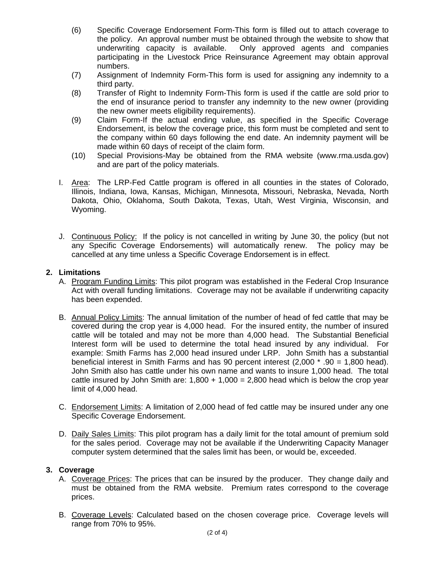- (6) Specific Coverage Endorsement Form-This form is filled out to attach coverage to the policy. An approval number must be obtained through the website to show that underwriting capacity is available. Only approved agents and companies participating in the Livestock Price Reinsurance Agreement may obtain approval numbers.
- (7) Assignment of Indemnity Form-This form is used for assigning any indemnity to a third party.
- (8) Transfer of Right to Indemnity Form-This form is used if the cattle are sold prior to the end of insurance period to transfer any indemnity to the new owner (providing the new owner meets eligibility requirements).
- (9) Claim Form-If the actual ending value, as specified in the Specific Coverage Endorsement, is below the coverage price, this form must be completed and sent to the company within 60 days following the end date. An indemnity payment will be made within 60 days of receipt of the claim form.
- (10) Special Provisions-May be obtained from the RMA website (www.rma.usda.gov) and are part of the policy materials.
- I. Area: The LRP-Fed Cattle program is offered in all counties in the states of Colorado, Illinois, Indiana, Iowa, Kansas, Michigan, Minnesota, Missouri, Nebraska, Nevada, North Dakota, Ohio, Oklahoma, South Dakota, Texas, Utah, West Virginia, Wisconsin, and Wyoming.
- J. Continuous Policy: If the policy is not cancelled in writing by June 30, the policy (but not any Specific Coverage Endorsements) will automatically renew. The policy may be cancelled at any time unless a Specific Coverage Endorsement is in effect.

### **2. Limitations**

- A. Program Funding Limits: This pilot program was established in the Federal Crop Insurance Act with overall funding limitations. Coverage may not be available if underwriting capacity has been expended.
- B. Annual Policy Limits: The annual limitation of the number of head of fed cattle that may be covered during the crop year is 4,000 head. For the insured entity, the number of insured cattle will be totaled and may not be more than 4,000 head. The Substantial Beneficial Interest form will be used to determine the total head insured by any individual. For example: Smith Farms has 2,000 head insured under LRP. John Smith has a substantial beneficial interest in Smith Farms and has 90 percent interest (2,000 \* .90 = 1,800 head). John Smith also has cattle under his own name and wants to insure 1,000 head. The total cattle insured by John Smith are:  $1,800 + 1,000 = 2,800$  head which is below the crop year limit of 4,000 head.
- C. Endorsement Limits: A limitation of 2,000 head of fed cattle may be insured under any one Specific Coverage Endorsement.
- D. Daily Sales Limits: This pilot program has a daily limit for the total amount of premium sold for the sales period. Coverage may not be available if the Underwriting Capacity Manager computer system determined that the sales limit has been, or would be, exceeded.

### **3. Coverage**

- A. Coverage Prices: The prices that can be insured by the producer. They change daily and must be obtained from the RMA website. Premium rates correspond to the coverage prices.
- B. Coverage Levels: Calculated based on the chosen coverage price. Coverage levels will range from 70% to 95%.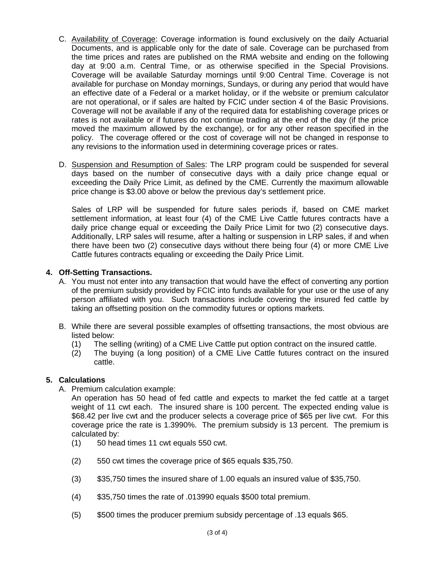- C. Availability of Coverage: Coverage information is found exclusively on the daily Actuarial Documents, and is applicable only for the date of sale. Coverage can be purchased from the time prices and rates are published on the RMA website and ending on the following day at 9:00 a.m. Central Time, or as otherwise specified in the Special Provisions. Coverage will be available Saturday mornings until 9:00 Central Time. Coverage is not available for purchase on Monday mornings, Sundays, or during any period that would have an effective date of a Federal or a market holiday, or if the website or premium calculator are not operational, or if sales are halted by FCIC under section 4 of the Basic Provisions. Coverage will not be available if any of the required data for establishing coverage prices or rates is not available or if futures do not continue trading at the end of the day (if the price moved the maximum allowed by the exchange), or for any other reason specified in the policy. The coverage offered or the cost of coverage will not be changed in response to any revisions to the information used in determining coverage prices or rates.
- D. Suspension and Resumption of Sales: The LRP program could be suspended for several days based on the number of consecutive days with a daily price change equal or exceeding the Daily Price Limit, as defined by the CME. Currently the maximum allowable price change is \$3.00 above or below the previous day's settlement price.

daily price change equal or exceeding the Daily Price Limit for two (2) consecutive days. Sales of LRP will be suspended for future sales periods if, based on CME market settlement information, at least four (4) of the CME Live Cattle futures contracts have a Additionally, LRP sales will resume, after a halting or suspension in LRP sales, if and when there have been two (2) consecutive days without there being four (4) or more CME Live Cattle futures contracts equaling or exceeding the Daily Price Limit.

## **4. Off-Setting Transactions.**

- A. You must not enter into any transaction that would have the effect of converting any portion of the premium subsidy provided by FCIC into funds available for your use or the use of any person affiliated with you. Such transactions include covering the insured fed cattle by taking an offsetting position on the commodity futures or options markets.
- B. While there are several possible examples of offsetting transactions, the most obvious are listed below:
	- (1) The selling (writing) of a CME Live Cattle put option contract on the insured cattle.
	- (2) The buying (a long position) of a CME Live Cattle futures contract on the insured cattle.

### **5. Calculations**

A. Premium calculation example:

An operation has 50 head of fed cattle and expects to market the fed cattle at a target weight of 11 cwt each. The insured share is 100 percent. The expected ending value is \$68.42 per live cwt and the producer selects a coverage price of \$65 per live cwt. For this coverage price the rate is 1.3990%. The premium subsidy is 13 percent. The premium is calculated by:

- (1) 50 head times 11 cwt equals 550 cwt.
- (2) 550 cwt times the coverage price of \$65 equals \$35,750.
- (3) \$35,750 times the insured share of 1.00 equals an insured value of \$35,750.
- (4) \$35,750 times the rate of .013990 equals \$500 total premium.
- (5) \$500 times the producer premium subsidy percentage of .13 equals \$65.